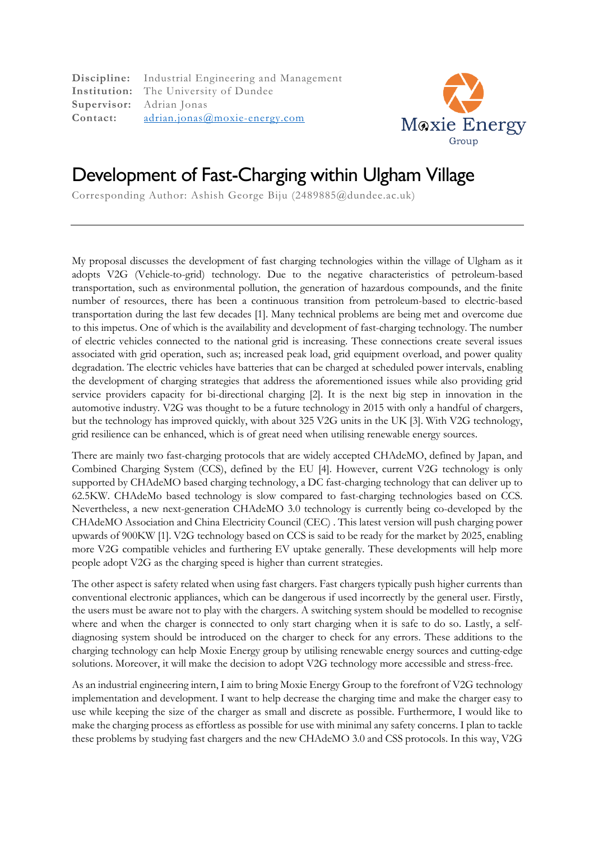**Discipline:** Industrial Engineering and Management **Institution:** The University of Dundee **Supervisor:** Adrian Jonas **Contact:** adrian.jonas@moxie-energy.com



## Development of Fast-Charging within Ulgham Village

Corresponding Author: Ashish George Biju (2489885@dundee.ac.uk)

My proposal discusses the development of fast charging technologies within the village of Ulgham as it adopts V2G (Vehicle-to-grid) technology. Due to the negative characteristics of petroleum-based transportation, such as environmental pollution, the generation of hazardous compounds, and the finite number of resources, there has been a continuous transition from petroleum-based to electric-based transportation during the last few decades [1]. Many technical problems are being met and overcome due to this impetus. One of which is the availability and development of fast-charging technology. The number of electric vehicles connected to the national grid is increasing. These connections create several issues associated with grid operation, such as; increased peak load, grid equipment overload, and power quality degradation. The electric vehicles have batteries that can be charged at scheduled power intervals, enabling the development of charging strategies that address the aforementioned issues while also providing grid service providers capacity for bi-directional charging [2]. It is the next big step in innovation in the automotive industry. V2G was thought to be a future technology in 2015 with only a handful of chargers, but the technology has improved quickly, with about 325 V2G units in the UK [3]. With V2G technology, grid resilience can be enhanced, which is of great need when utilising renewable energy sources.

There are mainly two fast-charging protocols that are widely accepted CHAdeMO, defined by Japan, and Combined Charging System (CCS), defined by the EU [4]. However, current V2G technology is only supported by CHAdeMO based charging technology, a DC fast-charging technology that can deliver up to 62.5KW. CHAdeMo based technology is slow compared to fast-charging technologies based on CCS. Nevertheless, a new next-generation CHAdeMO 3.0 technology is currently being co-developed by the CHAdeMO Association and China Electricity Council (CEC) . This latest version will push charging power upwards of 900KW [1]. V2G technology based on CCS is said to be ready for the market by 2025, enabling more V2G compatible vehicles and furthering EV uptake generally. These developments will help more people adopt V2G as the charging speed is higher than current strategies.

The other aspect is safety related when using fast chargers. Fast chargers typically push higher currents than conventional electronic appliances, which can be dangerous if used incorrectly by the general user. Firstly, the users must be aware not to play with the chargers. A switching system should be modelled to recognise where and when the charger is connected to only start charging when it is safe to do so. Lastly, a selfdiagnosing system should be introduced on the charger to check for any errors. These additions to the charging technology can help Moxie Energy group by utilising renewable energy sources and cutting-edge solutions. Moreover, it will make the decision to adopt V2G technology more accessible and stress-free.

As an industrial engineering intern, I aim to bring Moxie Energy Group to the forefront of V2G technology implementation and development. I want to help decrease the charging time and make the charger easy to use while keeping the size of the charger as small and discrete as possible. Furthermore, I would like to make the charging process as effortless as possible for use with minimal any safety concerns. I plan to tackle these problems by studying fast chargers and the new CHAdeMO 3.0 and CSS protocols. In this way, V2G